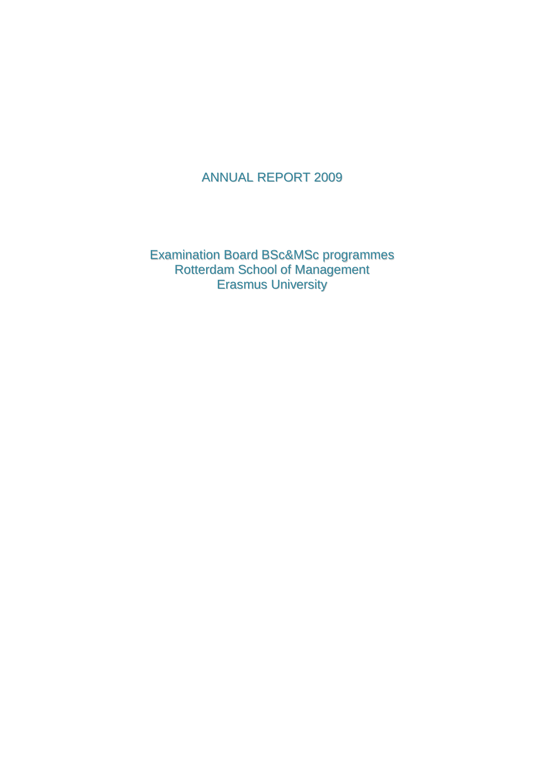# ANNUAL REPORT 2009

Examination Board BSc&MSc programmes Rotterdam School of Management Erasmus University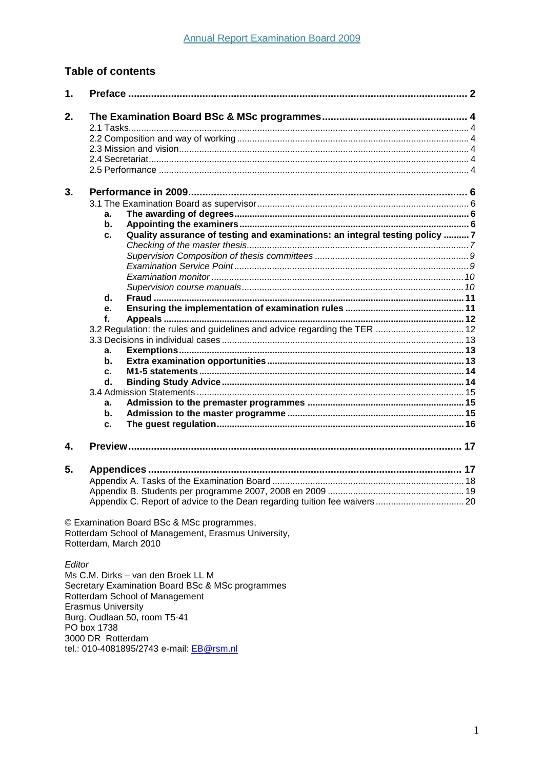# **Table of contents**

| 1. |                                                                                                                           |  |
|----|---------------------------------------------------------------------------------------------------------------------------|--|
| 2. |                                                                                                                           |  |
|    |                                                                                                                           |  |
|    |                                                                                                                           |  |
|    |                                                                                                                           |  |
|    |                                                                                                                           |  |
| 3. |                                                                                                                           |  |
|    |                                                                                                                           |  |
|    | a.                                                                                                                        |  |
|    | b.                                                                                                                        |  |
|    | Quality assurance of testing and examinations: an integral testing policy 7<br>c.                                         |  |
|    |                                                                                                                           |  |
|    |                                                                                                                           |  |
|    |                                                                                                                           |  |
|    |                                                                                                                           |  |
|    | d.                                                                                                                        |  |
|    | e.                                                                                                                        |  |
|    | f.                                                                                                                        |  |
|    |                                                                                                                           |  |
|    |                                                                                                                           |  |
|    | a.                                                                                                                        |  |
|    | b.                                                                                                                        |  |
|    | c.                                                                                                                        |  |
|    | d.                                                                                                                        |  |
|    |                                                                                                                           |  |
|    | a.                                                                                                                        |  |
|    | b.                                                                                                                        |  |
|    | c.                                                                                                                        |  |
| 4. |                                                                                                                           |  |
| 5. |                                                                                                                           |  |
|    |                                                                                                                           |  |
|    | Appendix C. Report of advice to the Dean regarding tuition fee waivers 20                                                 |  |
|    | © Examination Board BSc & MSc programmes,<br>Rotterdam School of Management, Erasmus University,<br>Rotterdam, March 2010 |  |

Editor

Ms C.M. Dirks - van den Broek LL M Secretary Examination Board BSc & MSc programmes<br>Rotterdam School of Management Erasmus University<br>Burg. Oudlaan 50, room T5-41 PO box 1738 3000 DR Rotterdam tel.: 010-4081895/2743 e-mail: EB@rsm.nl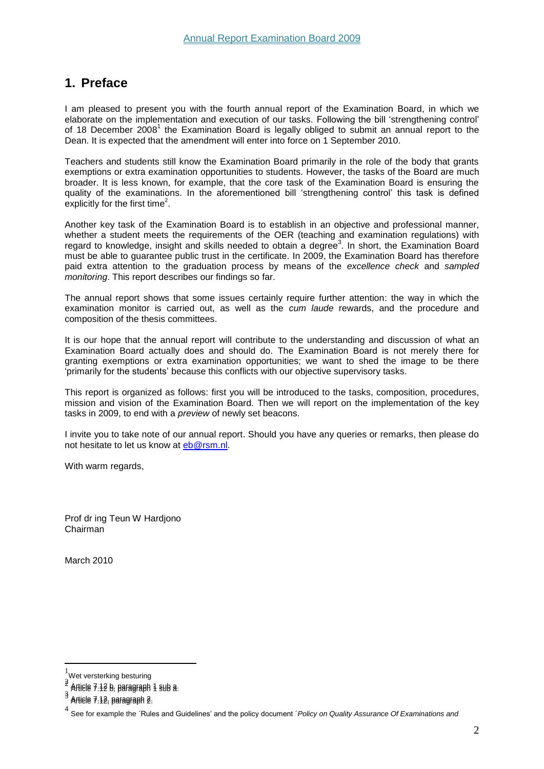# <span id="page-2-0"></span>**1. Preface**

I am pleased to present you with the fourth annual report of the Examination Board, in which we elaborate on the implementation and execution of our tasks. Following the bill 'strengthening control' of 18 December 2008<sup>1</sup> the Examination Board is legally obliged to submit an annual report to the Dean. It is expected that the amendment will enter into force on 1 September 2010.

Teachers and students still know the Examination Board primarily in the role of the body that grants exemptions or extra examination opportunities to students. However, the tasks of the Board are much broader. It is less known, for example, that the core task of the Examination Board is ensuring the quality of the examinations. In the aforementioned bill 'strengthening control' this task is defined explicitly for the first time<sup>2</sup>.

Another key task of the Examination Board is to establish in an objective and professional manner, whether a student meets the requirements of the OER (teaching and examination regulations) with regard to knowledge, insight and skills needed to obtain a degree<sup>3</sup>. In short, the Examination Board must be able to guarantee public trust in the certificate. In 2009, the Examination Board has therefore paid extra attention to the graduation process by means of the *excellence check* and *sampled monitoring*. This report describes our findings so far.

The annual report shows that some issues certainly require further attention: the way in which the examination monitor is carried out, as well as the *cum laude* rewards, and the procedure and composition of the thesis committees.

It is our hope that the annual report will contribute to the understanding and discussion of what an Examination Board actually does and should do. The Examination Board is not merely there for granting exemptions or extra examination opportunities; we want to shed the image to be there 'primarily for the students' because this conflicts with our objective supervisory tasks.

This report is organized as follows: first you will be introduced to the tasks, composition, procedures, mission and vision of the Examination Board. Then we will report on the implementation of the key tasks in 2009, to end with a *preview* of newly set beacons.

I invite you to take note of our annual report. Should you have any queries or remarks, then please do not hesitate to let us know at [eb@rsm.nl.](mailto:eb@rsm.nl)

With warm regards.

Prof dr ing Teun W Hardjono Chairman

March 2010

 $\overline{a}$ 

 $\frac{1}{1}$ Wet versterking besturing

 $\frac{3}{2}$ Article 7.12 b, paragraph 1 sub a. Article 7.12 b, paragraph 1 sub a.

<sup>3</sup> 3 Article 7.12, paragraph 2. Article 7.12, paragraph 2.

<sup>4</sup> See for example the ´Rules and Guidelines' and the policy document ´*Policy on Quality Assurance Of Examinations and*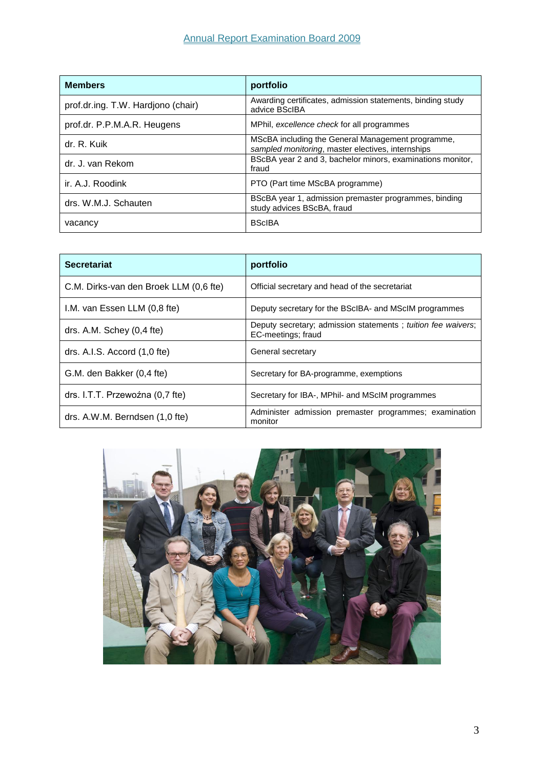| <b>Members</b>                     | portfolio                                                                                              |
|------------------------------------|--------------------------------------------------------------------------------------------------------|
| prof.dr.ing. T.W. Hardjono (chair) | Awarding certificates, admission statements, binding study<br>advice BScIBA                            |
| prof.dr. P.P.M.A.R. Heugens        | MPhil, excellence check for all programmes                                                             |
| dr. R. Kuik                        | MScBA including the General Management programme,<br>sampled monitoring, master electives, internships |
| dr. J. van Rekom                   | BScBA year 2 and 3, bachelor minors, examinations monitor,<br>fraud                                    |
| ir. A.J. Roodink                   | PTO (Part time MScBA programme)                                                                        |
| drs. W.M.J. Schauten               | BScBA year 1, admission premaster programmes, binding<br>study advices BScBA, fraud                    |
| vacancy                            | <b>BScIBA</b>                                                                                          |

| <b>Secretariat</b>                     | portfolio                                                                          |
|----------------------------------------|------------------------------------------------------------------------------------|
| C.M. Dirks-van den Broek LLM (0,6 fte) | Official secretary and head of the secretariat                                     |
| I.M. van Essen LLM (0,8 fte)           | Deputy secretary for the BScIBA- and MScIM programmes                              |
| drs. A.M. Schey $(0,4$ fte)            | Deputy secretary; admission statements; tuition fee waivers;<br>EC-meetings; fraud |
| drs. A.I.S. Accord $(1,0$ fte)         | General secretary                                                                  |
| G.M. den Bakker (0,4 fte)              | Secretary for BA-programme, exemptions                                             |
| drs. I.T.T. Przewoźna (0,7 fte)        | Secretary for IBA-, MPhil- and MScIM programmes                                    |
| drs. A.W.M. Berndsen (1,0 fte)         | Administer admission premaster programmes; examination<br>monitor                  |

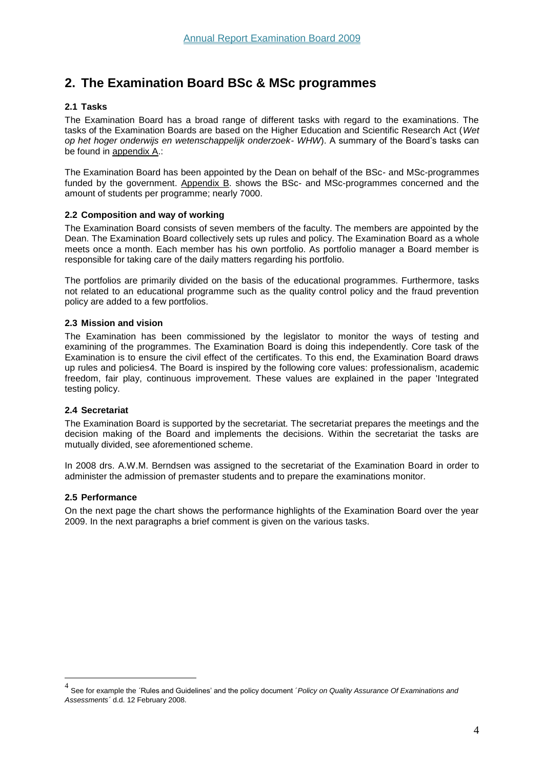# <span id="page-4-0"></span>**2. The Examination Board BSc & MSc programmes**

## <span id="page-4-1"></span>**2.1 Tasks**

The Examination Board has a broad range of different tasks with regard to the examinations. The tasks of the Examination Boards are based on the Higher Education and Scientific Research Act (*Wet op het hoger onderwijs en wetenschappelijk onderzoek- WHW*). A summary of the Board's tasks can be found in appendix A.:

The Examination Board has been appointed by the Dean on behalf of the BSc- and MSc-programmes funded by the government. Appendix B. shows the BSc- and MSc-programmes concerned and the amount of students per programme; nearly 7000.

## <span id="page-4-2"></span>**2.2 Composition and way of working**

The Examination Board consists of seven members of the faculty. The members are appointed by the Dean. The Examination Board collectively sets up rules and policy. The Examination Board as a whole meets once a month. Each member has his own portfolio. As portfolio manager a Board member is responsible for taking care of the daily matters regarding his portfolio.

The portfolios are primarily divided on the basis of the educational programmes. Furthermore, tasks not related to an educational programme such as the quality control policy and the fraud prevention policy are added to a few portfolios.

## <span id="page-4-3"></span>**2.3 Mission and vision**

The Examination has been commissioned by the legislator to monitor the ways of testing and examining of the programmes. The Examination Board is doing this independently. Core task of the Examination is to ensure the civil effect of the certificates. To this end, the Examination Board draws up rules and policies4. The Board is inspired by the following core values: professionalism, academic freedom, fair play, continuous improvement. These values are explained in the paper 'Integrated testing policy.

## <span id="page-4-4"></span>**2.4 Secretariat**

The Examination Board is supported by the secretariat. The secretariat prepares the meetings and the decision making of the Board and implements the decisions. Within the secretariat the tasks are mutually divided, see aforementioned scheme.

In 2008 drs. A.W.M. Berndsen was assigned to the secretariat of the Examination Board in order to administer the admission of premaster students and to prepare the examinations monitor.

## <span id="page-4-5"></span>**2.5 Performance**

 $\overline{a}$ 

On the next page the chart shows the performance highlights of the Examination Board over the year 2009. In the next paragraphs a brief comment is given on the various tasks.

<sup>4</sup> See for example the ´Rules and Guidelines' and the policy document ´*Policy on Quality Assurance Of Examinations and Assessments´* d.d. 12 February 2008.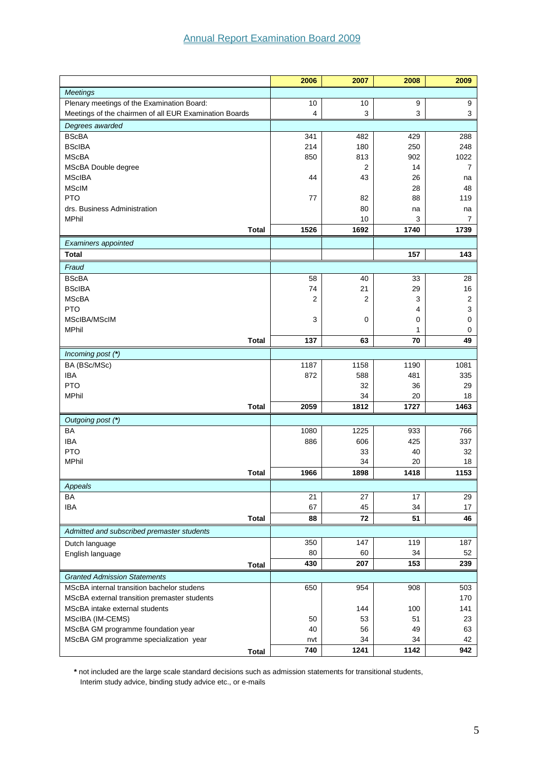|                                                        | 2006           | 2007           | 2008             | 2009           |
|--------------------------------------------------------|----------------|----------------|------------------|----------------|
| <b>Meetings</b>                                        |                |                |                  |                |
| Plenary meetings of the Examination Board:             | 10             | 10             | $\boldsymbol{9}$ | 9              |
| Meetings of the chairmen of all EUR Examination Boards | 4              | 3              | 3                | 3              |
| Degrees awarded                                        |                |                |                  |                |
| <b>BScBA</b>                                           | 341            | 482            | 429              | 288            |
| <b>BScIBA</b>                                          | 214            | 180            | 250              | 248            |
| <b>MScBA</b>                                           | 850            | 813            | 902              | 1022           |
| MScBA Double degree                                    |                | $\overline{2}$ | 14               | $\overline{7}$ |
| <b>MScIBA</b>                                          | 44             | 43             | 26               | na             |
| <b>MScIM</b>                                           |                |                | 28               | 48             |
| <b>PTO</b>                                             | 77             | 82             | 88               | 119            |
| drs. Business Administration                           |                | 80             | na               | na             |
| <b>MPhil</b>                                           |                | 10             | 3                | 7              |
| <b>Total</b>                                           | 1526           | 1692           | 1740             | 1739           |
| Examiners appointed                                    |                |                |                  |                |
| <b>Total</b>                                           |                |                | 157              | 143            |
| Fraud                                                  |                |                |                  |                |
| <b>BScBA</b>                                           | 58             | 40             | 33               | 28             |
| <b>BScIBA</b>                                          | 74             | 21             | 29               | 16             |
| <b>MScBA</b>                                           | $\overline{2}$ | 2              | 3                | $\overline{2}$ |
| <b>PTO</b>                                             |                |                | 4                | 3              |
| MScIBA/MScIM                                           | 3              | 0              | 0                | 0              |
| <b>MPhil</b>                                           |                |                | 1                | 0              |
| <b>Total</b>                                           | 137            | 63             | 70               | 49             |
| Incoming post (*)                                      |                |                |                  |                |
| BA (BSc/MSc)                                           | 1187           | 1158           | 1190             | 1081           |
| <b>IBA</b>                                             | 872            | 588            | 481              | 335            |
| <b>PTO</b>                                             |                | 32             | 36               | 29             |
| <b>MPhil</b>                                           |                | 34             | 20               | 18             |
| <b>Total</b>                                           | 2059           | 1812           | 1727             | 1463           |
| Outgoing post (*)                                      |                |                |                  |                |
| <b>BA</b>                                              | 1080           | 1225           | 933              | 766            |
| <b>IBA</b>                                             | 886            | 606            | 425              | 337            |
| <b>PTO</b>                                             |                | 33             | 40               | 32             |
| <b>MPhil</b>                                           |                | 34             | 20               | 18             |
| <b>Total</b>                                           | 1966           | 1898           | 1418             | 1153           |
| Appeals                                                |                |                |                  |                |
| BA                                                     | 21             | 27             | 17               | 29             |
| IBA                                                    | 67             | 45             | 34               | 17             |
| <b>Total</b>                                           | 88             | 72             | 51               | 46             |
| Admitted and subscribed premaster students             |                |                |                  |                |
| Dutch language                                         | 350            | 147            | 119              | 187            |
| English language                                       | 80             | 60             | 34               | 52             |
| Total                                                  | 430            | 207            | 153              | 239            |
| <b>Granted Admission Statements</b>                    |                |                |                  |                |
| MScBA internal transition bachelor studens             | 650            | 954            | 908              | 503            |
| MScBA external transition premaster students           |                |                |                  | 170            |
| MScBA intake external students                         |                | 144            | 100              | 141            |
| MScIBA (IM-CEMS)                                       | 50             | 53             | 51               | 23             |
| MScBA GM programme foundation year                     | 40             | 56             | 49               | 63             |
| MScBA GM programme specialization year                 | nvt            | 34             | 34               | 42             |
| <b>Total</b>                                           | 740            | 1241           | 1142             | 942            |

**\*** not included are the large scale standard decisions such as admission statements for transitional students, Interim study advice, binding study advice etc., or e-mails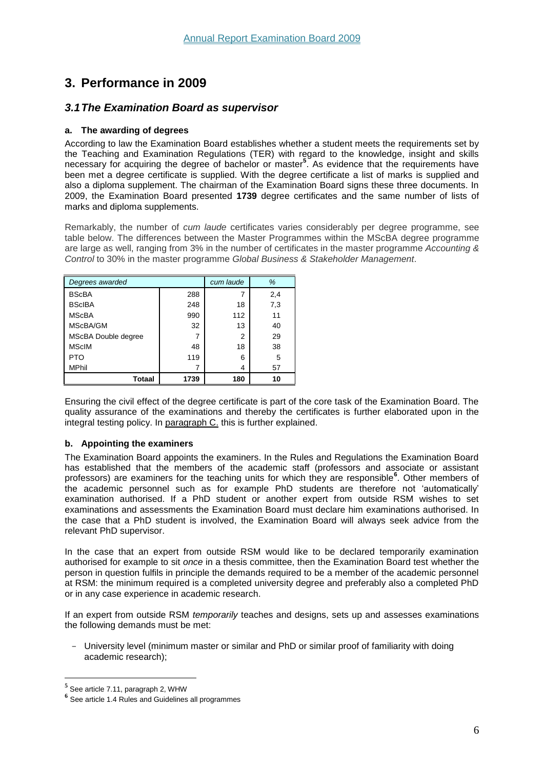# <span id="page-6-0"></span>**3. Performance in 2009**

## <span id="page-6-1"></span>*3.1The Examination Board as supervisor*

## <span id="page-6-2"></span>**a. The awarding of degrees**

According to law the Examination Board establishes whether a student meets the requirements set by the Teaching and Examination Regulations (TER) with regard to the knowledge, insight and skills necessary for acquiring the degree of bachelor or master**<sup>5</sup>** . As evidence that the requirements have been met a degree certificate is supplied. With the degree certificate a list of marks is supplied and also a diploma supplement. The chairman of the Examination Board signs these three documents. In 2009, the Examination Board presented **1739** degree certificates and the same number of lists of marks and diploma supplements.

Remarkably, the number of *cum laude* certificates varies considerably per degree programme, see table below. The differences between the Master Programmes within the MScBA degree programme are large as well, ranging from 3% in the number of certificates in the master programme *Accounting & Control* to 30% in the master programme *Global Business & Stakeholder Management*.

| Degrees awarded            | cum laude | %   |     |
|----------------------------|-----------|-----|-----|
| <b>BScBA</b>               | 288       | 7   | 2,4 |
| <b>BScIBA</b>              | 248       | 18  | 7,3 |
| <b>MScBA</b>               | 990       | 112 | 11  |
| MScBA/GM                   | 32        | 13  | 40  |
| <b>MScBA Double degree</b> |           | 2   | 29  |
| <b>MScIM</b>               | 48        | 18  | 38  |
| <b>PTO</b>                 | 119       | 6   | 5   |
| <b>MPhil</b>               |           | 4   | 57  |
| Totaal                     | 1739      | 180 | 10  |

Ensuring the civil effect of the degree certificate is part of the core task of the Examination Board. The quality assurance of the examinations and thereby the certificates is further elaborated upon in the integral testing policy. In paragraph C. this is further explained.

## <span id="page-6-3"></span>**b. Appointing the examiners**

The Examination Board appoints the examiners. In the Rules and Regulations the Examination Board has established that the members of the academic staff (professors and associate or assistant professors) are examiners for the teaching units for which they are responsible**<sup>6</sup>** . Other members of the academic personnel such as for example PhD students are therefore not 'automatically' examination authorised. If a PhD student or another expert from outside RSM wishes to set examinations and assessments the Examination Board must declare him examinations authorised. In the case that a PhD student is involved, the Examination Board will always seek advice from the relevant PhD supervisor.

In the case that an expert from outside RSM would like to be declared temporarily examination authorised for example to sit *once* in a thesis committee, then the Examination Board test whether the person in question fulfils in principle the demands required to be a member of the academic personnel at RSM: the minimum required is a completed university degree and preferably also a completed PhD or in any case experience in academic research.

If an expert from outside RSM *temporarily* teaches and designs, sets up and assesses examinations the following demands must be met:

- University level (minimum master or similar and PhD or similar proof of familiarity with doing academic research);

 $\overline{a}$ 

**<sup>5</sup>** See article 7.11, paragraph 2, WHW

**<sup>6</sup>** See article 1.4 Rules and Guidelines all programmes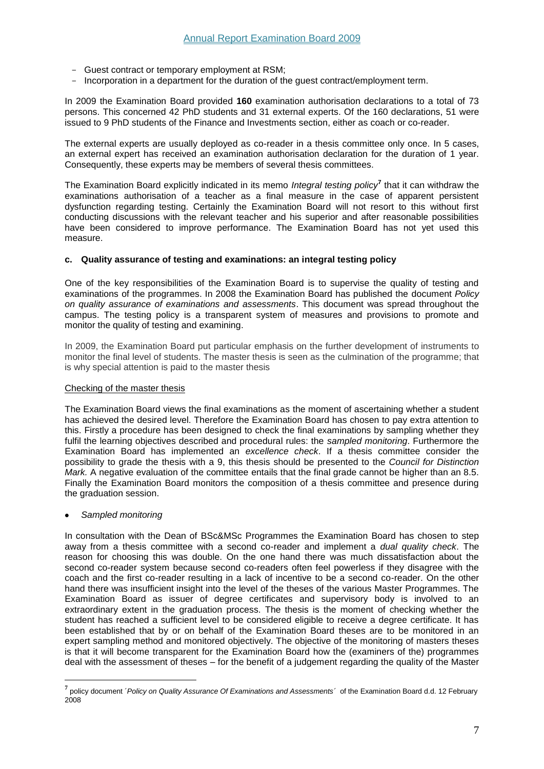- Guest contract or temporary employment at RSM;
- Incorporation in a department for the duration of the guest contract/employment term.

In 2009 the Examination Board provided **160** examination authorisation declarations to a total of 73 persons. This concerned 42 PhD students and 31 external experts. Of the 160 declarations, 51 were issued to 9 PhD students of the Finance and Investments section, either as coach or co-reader.

The external experts are usually deployed as co-reader in a thesis committee only once. In 5 cases, an external expert has received an examination authorisation declaration for the duration of 1 year. Consequently, these experts may be members of several thesis committees.

The Examination Board explicitly indicated in its memo *Integral testing policy***<sup>7</sup>** that it can withdraw the examinations authorisation of a teacher as a final measure in the case of apparent persistent dysfunction regarding testing. Certainly the Examination Board will not resort to this without first conducting discussions with the relevant teacher and his superior and after reasonable possibilities have been considered to improve performance. The Examination Board has not yet used this measure.

#### <span id="page-7-0"></span>**c. Quality assurance of testing and examinations: an integral testing policy**

One of the key responsibilities of the Examination Board is to supervise the quality of testing and examinations of the programmes. In 2008 the Examination Board has published the document *Policy on quality assurance of examinations and assessments*. This document was spread throughout the campus. The testing policy is a transparent system of measures and provisions to promote and monitor the quality of testing and examining.

In 2009, the Examination Board put particular emphasis on the further development of instruments to monitor the final level of students. The master thesis is seen as the culmination of the programme; that is why special attention is paid to the master thesis

#### <span id="page-7-1"></span>Checking of the master thesis

The Examination Board views the final examinations as the moment of ascertaining whether a student has achieved the desired level. Therefore the Examination Board has chosen to pay extra attention to this. Firstly a procedure has been designed to check the final examinations by sampling whether they fulfil the learning objectives described and procedural rules: the *sampled monitoring*. Furthermore the Examination Board has implemented an *excellence check*. If a thesis committee consider the possibility to grade the thesis with a 9, this thesis should be presented to the *Council for Distinction Mark.* A negative evaluation of the committee entails that the final grade cannot be higher than an 8.5. Finally the Examination Board monitors the composition of a thesis committee and presence during the graduation session.

## *Sampled monitoring*

 $\overline{a}$ 

In consultation with the Dean of BSc&MSc Programmes the Examination Board has chosen to step away from a thesis committee with a second co-reader and implement a *dual quality check*. The reason for choosing this was double. On the one hand there was much dissatisfaction about the second co-reader system because second co-readers often feel powerless if they disagree with the coach and the first co-reader resulting in a lack of incentive to be a second co-reader. On the other hand there was insufficient insight into the level of the theses of the various Master Programmes. The Examination Board as issuer of degree certificates and supervisory body is involved to an extraordinary extent in the graduation process. The thesis is the moment of checking whether the student has reached a sufficient level to be considered eligible to receive a degree certificate. It has been established that by or on behalf of the Examination Board theses are to be monitored in an expert sampling method and monitored objectively. The objective of the monitoring of masters theses is that it will become transparent for the Examination Board how the (examiners of the) programmes deal with the assessment of theses – for the benefit of a judgement regarding the quality of the Master

**<sup>7</sup>** policy document ´*Policy on Quality Assurance Of Examinations and Assessments´* of the Examination Board d.d. 12 February 2008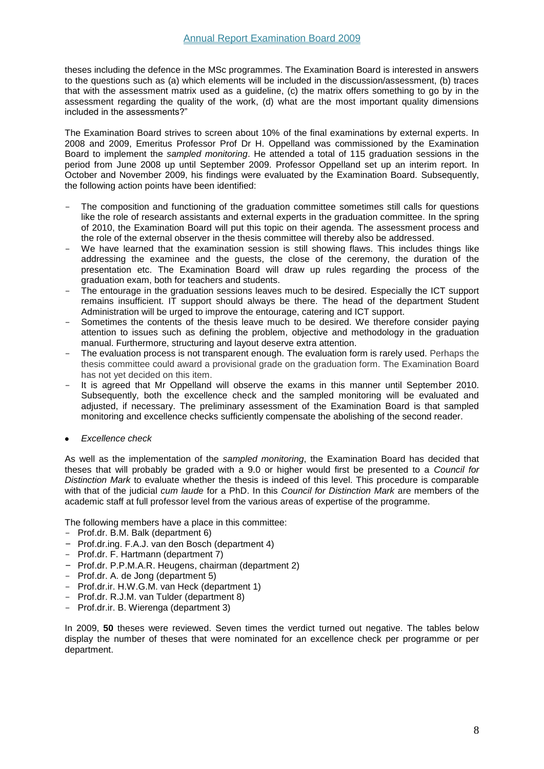theses including the defence in the MSc programmes. The Examination Board is interested in answers to the questions such as (a) which elements will be included in the discussion/assessment, (b) traces that with the assessment matrix used as a guideline, (c) the matrix offers something to go by in the assessment regarding the quality of the work, (d) what are the most important quality dimensions included in the assessments?"

The Examination Board strives to screen about 10% of the final examinations by external experts. In 2008 and 2009, Emeritus Professor Prof Dr H. Oppelland was commissioned by the Examination Board to implement the *sampled monitoring*. He attended a total of 115 graduation sessions in the period from June 2008 up until September 2009. Professor Oppelland set up an interim report. In October and November 2009, his findings were evaluated by the Examination Board. Subsequently, the following action points have been identified:

- The composition and functioning of the graduation committee sometimes still calls for questions like the role of research assistants and external experts in the graduation committee. In the spring of 2010, the Examination Board will put this topic on their agenda. The assessment process and the role of the external observer in the thesis committee will thereby also be addressed.
- We have learned that the examination session is still showing flaws. This includes things like addressing the examinee and the guests, the close of the ceremony, the duration of the presentation etc. The Examination Board will draw up rules regarding the process of the graduation exam, both for teachers and students.
- The entourage in the graduation sessions leaves much to be desired. Especially the ICT support remains insufficient. IT support should always be there. The head of the department Student Administration will be urged to improve the entourage, catering and ICT support.
- Sometimes the contents of the thesis leave much to be desired. We therefore consider paying attention to issues such as defining the problem, objective and methodology in the graduation manual. Furthermore, structuring and layout deserve extra attention.
- The evaluation process is not transparent enough. The evaluation form is rarely used. Perhaps the thesis committee could award a provisional grade on the graduation form. The Examination Board has not yet decided on this item.
- It is agreed that Mr Oppelland will observe the exams in this manner until September 2010. Subsequently, both the excellence check and the sampled monitoring will be evaluated and adjusted, if necessary. The preliminary assessment of the Examination Board is that sampled monitoring and excellence checks sufficiently compensate the abolishing of the second reader.
- *Excellence check*

As well as the implementation of the *sampled monitoring*, the Examination Board has decided that theses that will probably be graded with a 9.0 or higher would first be presented to a *Council for Distinction Mark* to evaluate whether the thesis is indeed of this level. This procedure is comparable with that of the judicial *cum laude* for a PhD. In this *Council for Distinction Mark* are members of the academic staff at full professor level from the various areas of expertise of the programme.

The following members have a place in this committee:

- Prof.dr. B.M. Balk (department 6)
- Prof.dr.ing. F.A.J. van den Bosch (department 4)
- Prof.dr. F. Hartmann (department 7)
- Prof.dr. P.P.M.A.R. Heugens, chairman (department 2)
- Prof.dr. A. de Jong (department 5)
- Prof.dr.ir. H.W.G.M. van Heck (department 1)
- Prof.dr. R.J.M. van Tulder (department 8)
- Prof.dr.ir. B. Wierenga (department 3)

In 2009, **50** theses were reviewed. Seven times the verdict turned out negative. The tables below display the number of theses that were nominated for an excellence check per programme or per department.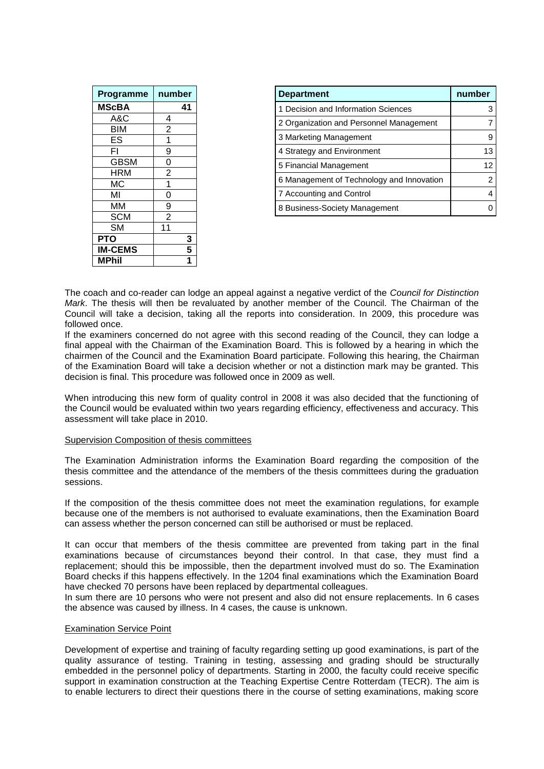| Programme      | number             |
|----------------|--------------------|
| <b>MScBA</b>   | 41                 |
| A&C            | 4                  |
| BIM            | $\overline{2}$     |
| ES             | 1                  |
| FI             | $\overline{9}$     |
| <b>GBSM</b>    | $\frac{0}{2}$      |
| HRM            |                    |
| МC             | 1                  |
| МΙ             | $\overline{0}$     |
| MМ             | $\frac{9}{2}$      |
| <b>SCM</b>     |                    |
| <b>SM</b>      | 11                 |
| <b>PTO</b>     | 3                  |
| <b>IM-CEMS</b> | 5                  |
| MPhil          | $\mathbf{\dot{1}}$ |

| <b>Department</b>                         | number |
|-------------------------------------------|--------|
| 1 Decision and Information Sciences       |        |
| 2 Organization and Personnel Management   |        |
| 3 Marketing Management                    |        |
| 4 Strategy and Environment                | 13     |
| 5 Financial Management                    | 12     |
| 6 Management of Technology and Innovation |        |
| 7 Accounting and Control                  |        |
| 8 Business-Society Management             |        |

The coach and co-reader can lodge an appeal against a negative verdict of the *Council for Distinction Mark*. The thesis will then be revaluated by another member of the Council. The Chairman of the Council will take a decision, taking all the reports into consideration. In 2009, this procedure was followed once.

If the examiners concerned do not agree with this second reading of the Council, they can lodge a final appeal with the Chairman of the Examination Board. This is followed by a hearing in which the chairmen of the Council and the Examination Board participate. Following this hearing, the Chairman of the Examination Board will take a decision whether or not a distinction mark may be granted. This decision is final. This procedure was followed once in 2009 as well.

When introducing this new form of quality control in 2008 it was also decided that the functioning of the Council would be evaluated within two years regarding efficiency, effectiveness and accuracy. This assessment will take place in 2010.

#### <span id="page-9-0"></span>Supervision Composition of thesis committees

The Examination Administration informs the Examination Board regarding the composition of the thesis committee and the attendance of the members of the thesis committees during the graduation sessions.

If the composition of the thesis committee does not meet the examination regulations, for example because one of the members is not authorised to evaluate examinations, then the Examination Board can assess whether the person concerned can still be authorised or must be replaced.

It can occur that members of the thesis committee are prevented from taking part in the final examinations because of circumstances beyond their control. In that case, they must find a replacement; should this be impossible, then the department involved must do so. The Examination Board checks if this happens effectively. In the 1204 final examinations which the Examination Board have checked 70 persons have been replaced by departmental colleagues.

In sum there are 10 persons who were not present and also did not ensure replacements. In 6 cases the absence was caused by illness. In 4 cases, the cause is unknown.

#### <span id="page-9-1"></span>Examination Service Point

Development of expertise and training of faculty regarding setting up good examinations, is part of the quality assurance of testing. Training in testing, assessing and grading should be structurally embedded in the personnel policy of departments. Starting in 2000, the faculty could receive specific support in examination construction at the Teaching Expertise Centre Rotterdam (TECR). The aim is to enable lecturers to direct their questions there in the course of setting examinations, making score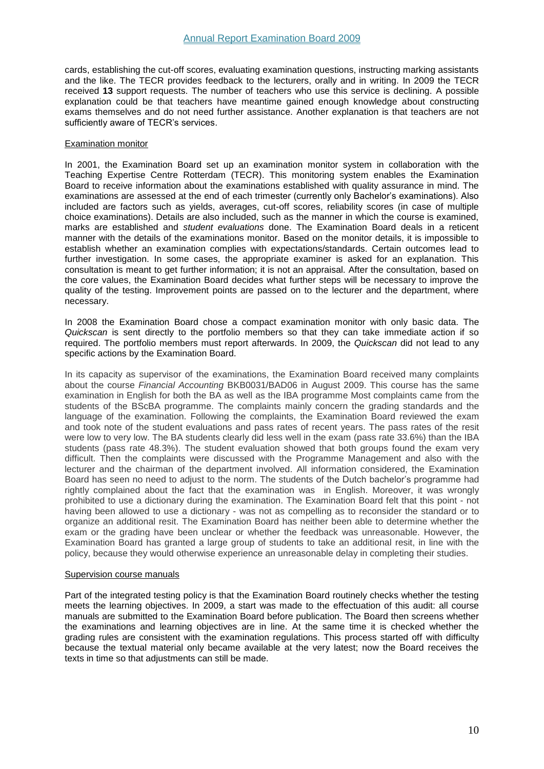cards, establishing the cut-off scores, evaluating examination questions, instructing marking assistants and the like. The TECR provides feedback to the lecturers, orally and in writing. In 2009 the TECR received **13** support requests. The number of teachers who use this service is declining. A possible explanation could be that teachers have meantime gained enough knowledge about constructing exams themselves and do not need further assistance. Another explanation is that teachers are not sufficiently aware of TECR's services.

#### <span id="page-10-0"></span>Examination monitor

In 2001, the Examination Board set up an examination monitor system in collaboration with the Teaching Expertise Centre Rotterdam (TECR). This monitoring system enables the Examination Board to receive information about the examinations established with quality assurance in mind. The examinations are assessed at the end of each trimester (currently only Bachelor's examinations). Also included are factors such as yields, averages, cut-off scores, reliability scores (in case of multiple choice examinations). Details are also included, such as the manner in which the course is examined, marks are established and *student evaluations* done. The Examination Board deals in a reticent manner with the details of the examinations monitor. Based on the monitor details, it is impossible to establish whether an examination complies with expectations/standards. Certain outcomes lead to further investigation. In some cases, the appropriate examiner is asked for an explanation. This consultation is meant to get further information; it is not an appraisal. After the consultation, based on the core values, the Examination Board decides what further steps will be necessary to improve the quality of the testing. Improvement points are passed on to the lecturer and the department, where necessary.

In 2008 the Examination Board chose a compact examination monitor with only basic data. The *Quickscan* is sent directly to the portfolio members so that they can take immediate action if so required. The portfolio members must report afterwards. In 2009, the *Quickscan* did not lead to any specific actions by the Examination Board.

In its capacity as supervisor of the examinations, the Examination Board received many complaints about the course *Financial Accounting* BKB0031/BAD06 in August 2009. This course has the same examination in English for both the BA as well as the IBA programme Most complaints came from the students of the BScBA programme. The complaints mainly concern the grading standards and the language of the examination. Following the complaints, the Examination Board reviewed the exam and took note of the student evaluations and pass rates of recent years. The pass rates of the resit were low to very low. The BA students clearly did less well in the exam (pass rate 33.6%) than the IBA students (pass rate 48.3%). The student evaluation showed that both groups found the exam very difficult. Then the complaints were discussed with the Programme Management and also with the lecturer and the chairman of the department involved. All information considered, the Examination Board has seen no need to adjust to the norm. The students of the Dutch bachelor's programme had rightly complained about the fact that the examination was in English. Moreover, it was wrongly prohibited to use a dictionary during the examination. The Examination Board felt that this point - not having been allowed to use a dictionary - was not as compelling as to reconsider the standard or to organize an additional resit. The Examination Board has neither been able to determine whether the exam or the grading have been unclear or whether the feedback was unreasonable. However, the Examination Board has granted a large group of students to take an additional resit, in line with the policy, because they would otherwise experience an unreasonable delay in completing their studies.

#### <span id="page-10-1"></span>Supervision course manuals

Part of the integrated testing policy is that the Examination Board routinely checks whether the testing meets the learning objectives. In 2009, a start was made to the effectuation of this audit: all course manuals are submitted to the Examination Board before publication. The Board then screens whether the examinations and learning objectives are in line. At the same time it is checked whether the grading rules are consistent with the examination regulations. This process started off with difficulty because the textual material only became available at the very latest; now the Board receives the texts in time so that adjustments can still be made.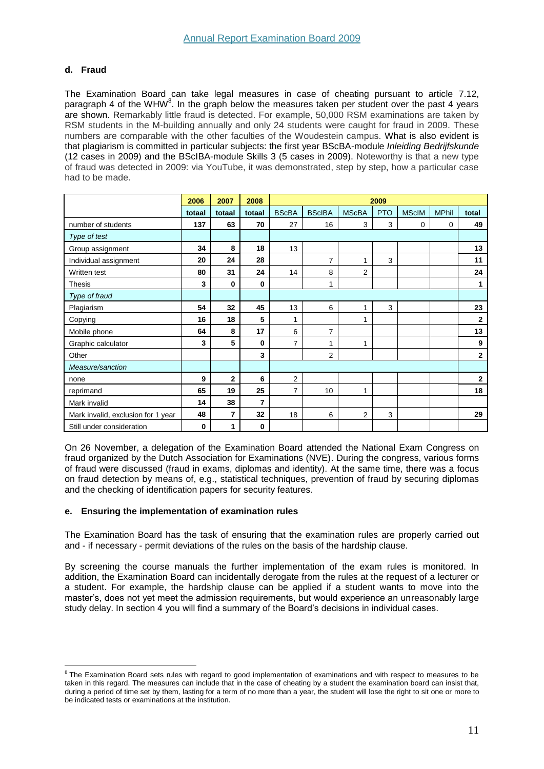## <span id="page-11-0"></span>**d. Fraud**

The Examination Board can take legal measures in case of cheating pursuant to article 7.12, paragraph 4 of the WHW<sup>8</sup>. In the graph below the measures taken per student over the past 4 years are shown. Remarkably little fraud is detected. For example, 50,000 RSM examinations are taken by RSM students in the M-building annually and only 24 students were caught for fraud in 2009. These numbers are comparable with the other faculties of the Woudestein campus. What is also evident is that plagiarism is committed in particular subjects: the first year BScBA-module *Inleiding Bedrijfskunde* (12 cases in 2009) and the BScIBA-module Skills 3 (5 cases in 2009). Noteworthy is that a new type of fraud was detected in 2009: via YouTube, it was demonstrated, step by step, how a particular case had to be made.

|                                    | 2006   | 2007           | 2008     |                | 2009           |                |            |              |              |              |
|------------------------------------|--------|----------------|----------|----------------|----------------|----------------|------------|--------------|--------------|--------------|
|                                    | totaal | totaal         | totaal   | <b>BScBA</b>   | <b>BScIBA</b>  | <b>MScBA</b>   | <b>PTO</b> | <b>MScIM</b> | <b>MPhil</b> | total        |
| number of students                 | 137    | 63             | 70       | 27             | 16             | 3              | 3          | 0            | 0            | 49           |
| Type of test                       |        |                |          |                |                |                |            |              |              |              |
| Group assignment                   | 34     | 8              | 18       | 13             |                |                |            |              |              | 13           |
| Individual assignment              | 20     | 24             | 28       |                | $\overline{7}$ | 1              | 3          |              |              | 11           |
| Written test                       | 80     | 31             | 24       | 14             | 8              | $\overline{2}$ |            |              |              | 24           |
| <b>Thesis</b>                      | 3      | $\bf{0}$       | $\bf{0}$ |                | 1              |                |            |              |              | 1            |
| Type of fraud                      |        |                |          |                |                |                |            |              |              |              |
| Plagiarism                         | 54     | 32             | 45       | 13             | 6              | 1              | 3          |              |              | 23           |
| Copying                            | 16     | 18             | 5        | 1              |                | 1              |            |              |              | $\mathbf{2}$ |
| Mobile phone                       | 64     | 8              | 17       | 6              | $\overline{7}$ |                |            |              |              | 13           |
| Graphic calculator                 | 3      | 5              | $\bf{0}$ | 7              | 1              | 1              |            |              |              | 9            |
| Other                              |        |                | 3        |                | $\overline{2}$ |                |            |              |              | $\mathbf{2}$ |
| Measure/sanction                   |        |                |          |                |                |                |            |              |              |              |
| none                               | 9      | $\overline{2}$ | 6        | $\overline{2}$ |                |                |            |              |              | $\mathbf{2}$ |
| reprimand                          | 65     | 19             | 25       | 7              | 10             | 1              |            |              |              | 18           |
| Mark invalid                       | 14     | 38             | 7        |                |                |                |            |              |              |              |
| Mark invalid, exclusion for 1 year | 48     | 7              | 32       | 18             | 6              | $\overline{2}$ | 3          |              |              | 29           |
| Still under consideration          | 0      | 1              | 0        |                |                |                |            |              |              |              |

On 26 November, a delegation of the Examination Board attended the National Exam Congress on fraud organized by the Dutch Association for Examinations (NVE). During the congress, various forms of fraud were discussed (fraud in exams, diplomas and identity). At the same time, there was a focus on fraud detection by means of, e.g., statistical techniques, prevention of fraud by securing diplomas and the checking of identification papers for security features.

## <span id="page-11-1"></span>**e. Ensuring the implementation of examination rules**

The Examination Board has the task of ensuring that the examination rules are properly carried out and - if necessary - permit deviations of the rules on the basis of the hardship clause.

By screening the course manuals the further implementation of the exam rules is monitored. In addition, the Examination Board can incidentally derogate from the rules at the request of a lecturer or a student. For example, the hardship clause can be applied if a student wants to move into the master's, does not yet meet the admission requirements, but would experience an unreasonably large study delay. In section 4 you will find a summary of the Board's decisions in individual cases.

examination Board sets rules with regard to good implementation of examinations and with respect to measures to be taken in this regard. The measures can include that in the case of cheating by a student the examination board can insist that, during a period of time set by them, lasting for a term of no more than a year, the student will lose the right to sit one or more to be indicated tests or examinations at the institution.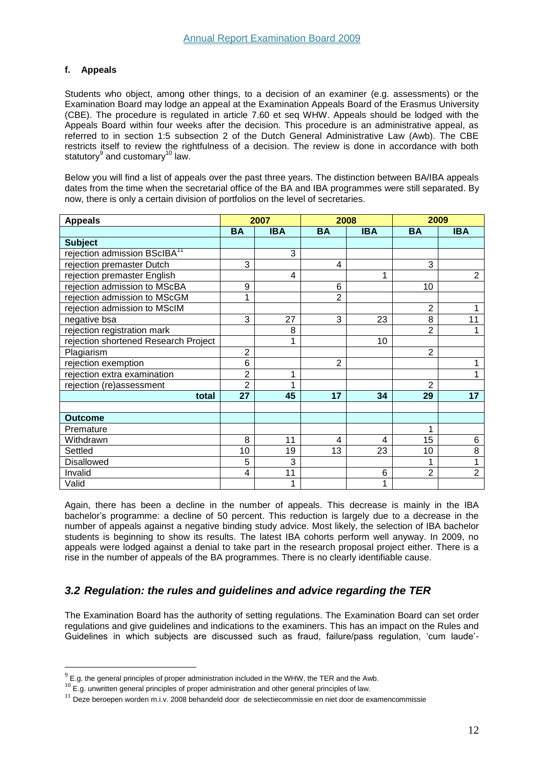## <span id="page-12-0"></span>**f. Appeals**

 $\overline{a}$ 

Students who object, among other things, to a decision of an examiner (e.g. assessments) or the Examination Board may lodge an appeal at the Examination Appeals Board of the Erasmus University (CBE). The procedure is regulated in article 7.60 et seq WHW. Appeals should be lodged with the Appeals Board within four weeks after the decision. This procedure is an administrative appeal, as referred to in section 1:5 subsection 2 of the Dutch General Administrative Law (Awb). The CBE restricts itself to review the rightfulness of a decision. The review is done in accordance with both statutory $^9$  and customary $^{10}$  law.

Below you will find a list of appeals over the past three years. The distinction between BA/IBA appeals dates from the time when the secretarial office of the BA and IBA programmes were still separated. By now, there is only a certain division of portfolios on the level of secretaries.

| <b>Appeals</b>                           |                | 2007       |                | 2008       | 2009           |                |
|------------------------------------------|----------------|------------|----------------|------------|----------------|----------------|
|                                          | <b>BA</b>      | <b>IBA</b> | <b>BA</b>      | <b>IBA</b> | <b>BA</b>      | <b>IBA</b>     |
| <b>Subject</b>                           |                |            |                |            |                |                |
| rejection admission BScIBA <sup>11</sup> |                | 3          |                |            |                |                |
| rejection premaster Dutch                | 3              |            | 4              |            | 3              |                |
| rejection premaster English              |                | 4          |                | 1          |                | $\overline{2}$ |
| rejection admission to MScBA             | 9              |            | 6              |            | 10             |                |
| rejection admission to MScGM             | 1              |            | 2              |            |                |                |
| rejection admission to MScIM             |                |            |                |            | $\overline{2}$ |                |
| negative bsa                             | 3              | 27         | 3              | 23         | 8              | 11             |
| rejection registration mark              |                | 8          |                |            | 2              |                |
| rejection shortened Research Project     |                | 1          |                | 10         |                |                |
| Plagiarism                               | $\overline{2}$ |            |                |            | $\overline{2}$ |                |
| rejection exemption                      | 6              |            | $\overline{2}$ |            |                |                |
| rejection extra examination              | $\overline{2}$ | 1          |                |            |                |                |
| rejection (re)assessment                 | $\overline{2}$ |            |                |            | 2              |                |
| total                                    | 27             | 45         | 17             | 34         | 29             | 17             |
|                                          |                |            |                |            |                |                |
| <b>Outcome</b>                           |                |            |                |            |                |                |
| Premature                                |                |            |                |            | 1              |                |
| Withdrawn                                | 8              | 11         | 4              | 4          | 15             | 6              |
| Settled                                  | 10             | 19         | 13             | 23         | 10             | 8              |
| Disallowed                               | 5              | 3          |                |            |                |                |
| Invalid                                  | 4              | 11         |                | 6          | $\overline{2}$ | $\overline{2}$ |
| Valid                                    |                | 1          |                | 1          |                |                |

Again, there has been a decline in the number of appeals. This decrease is mainly in the IBA bachelor's programme: a decline of 50 percent. This reduction is largely due to a decrease in the number of appeals against a negative binding study advice. Most likely, the selection of IBA bachelor students is beginning to show its results. The latest IBA cohorts perform well anyway. In 2009, no appeals were lodged against a denial to take part in the research proposal project either. There is a rise in the number of appeals of the BA programmes. There is no clearly identifiable cause.

## <span id="page-12-1"></span>*3.2 Regulation: the rules and guidelines and advice regarding the TER*

The Examination Board has the authority of setting regulations. The Examination Board can set order regulations and give guidelines and indications to the examiners. This has an impact on the Rules and Guidelines in which subjects are discussed such as fraud, failure/pass regulation, 'cum laude'-

 $^{9}$  E.g. the general principles of proper administration included in the WHW, the TER and the Awb.

 $10$  E.g. unwritten general principles of proper administration and other general principles of law.

<sup>&</sup>lt;sup>11</sup> Deze beroepen worden m.i.v. 2008 behandeld door de selectiecommissie en niet door de examencommissie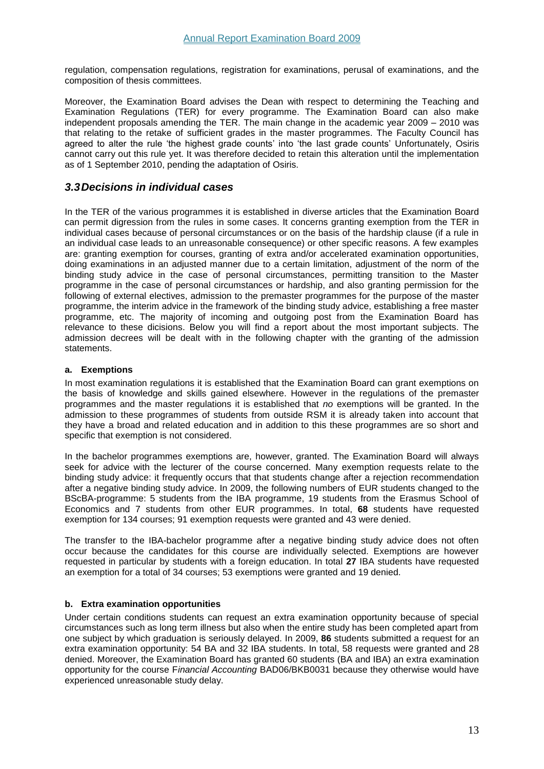regulation, compensation regulations, registration for examinations, perusal of examinations, and the composition of thesis committees.

Moreover, the Examination Board advises the Dean with respect to determining the Teaching and Examination Regulations (TER) for every programme. The Examination Board can also make independent proposals amending the TER. The main change in the academic year 2009 – 2010 was that relating to the retake of sufficient grades in the master programmes. The Faculty Council has agreed to alter the rule 'the highest grade counts' into 'the last grade counts' Unfortunately, Osiris cannot carry out this rule yet. It was therefore decided to retain this alteration until the implementation as of 1 September 2010, pending the adaptation of Osiris.

## <span id="page-13-0"></span>*3.3Decisions in individual cases*

In the TER of the various programmes it is established in diverse articles that the Examination Board can permit digression from the rules in some cases. It concerns granting exemption from the TER in individual cases because of personal circumstances or on the basis of the hardship clause (if a rule in an individual case leads to an unreasonable consequence) or other specific reasons. A few examples are: granting exemption for courses, granting of extra and/or accelerated examination opportunities, doing examinations in an adjusted manner due to a certain limitation, adjustment of the norm of the binding study advice in the case of personal circumstances, permitting transition to the Master programme in the case of personal circumstances or hardship, and also granting permission for the following of external electives, admission to the premaster programmes for the purpose of the master programme, the interim advice in the framework of the binding study advice, establishing a free master programme, etc. The majority of incoming and outgoing post from the Examination Board has relevance to these dicisions. Below you will find a report about the most important subjects. The admission decrees will be dealt with in the following chapter with the granting of the admission statements.

## <span id="page-13-1"></span>**a. Exemptions**

In most examination regulations it is established that the Examination Board can grant exemptions on the basis of knowledge and skills gained elsewhere. However in the regulations of the premaster programmes and the master regulations it is established that *no* exemptions will be granted. In the admission to these programmes of students from outside RSM it is already taken into account that they have a broad and related education and in addition to this these programmes are so short and specific that exemption is not considered.

In the bachelor programmes exemptions are, however, granted. The Examination Board will always seek for advice with the lecturer of the course concerned. Many exemption requests relate to the binding study advice: it frequently occurs that that students change after a rejection recommendation after a negative binding study advice. In 2009, the following numbers of EUR students changed to the BScBA-programme: 5 students from the IBA programme, 19 students from the Erasmus School of Economics and 7 students from other EUR programmes. In total, **68** students have requested exemption for 134 courses; 91 exemption requests were granted and 43 were denied.

The transfer to the IBA-bachelor programme after a negative binding study advice does not often occur because the candidates for this course are individually selected. Exemptions are however requested in particular by students with a foreign education. In total **27** IBA students have requested an exemption for a total of 34 courses; 53 exemptions were granted and 19 denied.

## <span id="page-13-2"></span>**b. Extra examination opportunities**

Under certain conditions students can request an extra examination opportunity because of special circumstances such as long term illness but also when the entire study has been completed apart from one subject by which graduation is seriously delayed. In 2009, **86** students submitted a request for an extra examination opportunity: 54 BA and 32 IBA students. In total, 58 requests were granted and 28 denied. Moreover, the Examination Board has granted 60 students (BA and IBA) an extra examination opportunity for the course F*inancial Accounting* BAD06/BKB0031 because they otherwise would have experienced unreasonable study delay.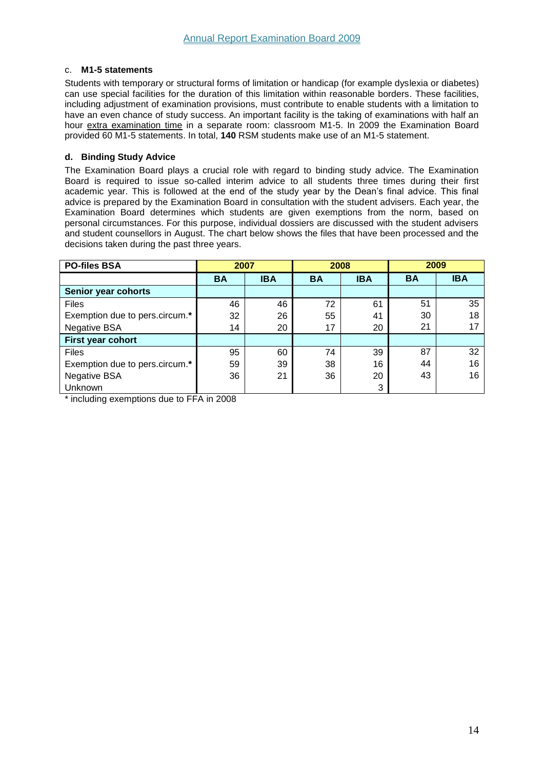## <span id="page-14-0"></span>c. **M1-5 statements**

Students with temporary or structural forms of limitation or handicap (for example dyslexia or diabetes) can use special facilities for the duration of this limitation within reasonable borders. These facilities, including adjustment of examination provisions, must contribute to enable students with a limitation to have an even chance of study success. An important facility is the taking of examinations with half an hour extra examination time in a separate room: classroom M1-5. In 2009 the Examination Board provided 60 M1-5 statements. In total, **140** RSM students make use of an M1-5 statement.

## <span id="page-14-1"></span>**d. Binding Study Advice**

The Examination Board plays a crucial role with regard to binding study advice. The Examination Board is required to issue so-called interim advice to all students three times during their first academic year. This is followed at the end of the study year by the Dean's final advice. This final advice is prepared by the Examination Board in consultation with the student advisers. Each year, the Examination Board determines which students are given exemptions from the norm, based on personal circumstances. For this purpose, individual dossiers are discussed with the student advisers and student counsellors in August. The chart below shows the files that have been processed and the decisions taken during the past three years.

| <b>PO-files BSA</b>            | 2007      |            | 2008      |            | 2009      |            |
|--------------------------------|-----------|------------|-----------|------------|-----------|------------|
|                                | <b>BA</b> | <b>IBA</b> | <b>BA</b> | <b>IBA</b> | <b>BA</b> | <b>IBA</b> |
| Senior year cohorts            |           |            |           |            |           |            |
| <b>Files</b>                   | 46        | 46         | 72        | 61         | 51        | 35         |
| Exemption due to pers.circum.* | 32        | 26         | 55        | 41         | 30        | 18         |
| <b>Negative BSA</b>            | 14        | 20         | 17        | 20         | 21        | 17         |
| First year cohort              |           |            |           |            |           |            |
| <b>Files</b>                   | 95        | 60         | 74        | 39         | 87        | 32         |
| Exemption due to pers.circum.* | 59        | 39         | 38        | 16         | 44        | 16         |
| <b>Negative BSA</b>            | 36        | 21         | 36        | 20         | 43        | 16         |
| Unknown                        |           |            |           | 3          |           |            |

\* including exemptions due to FFA in 2008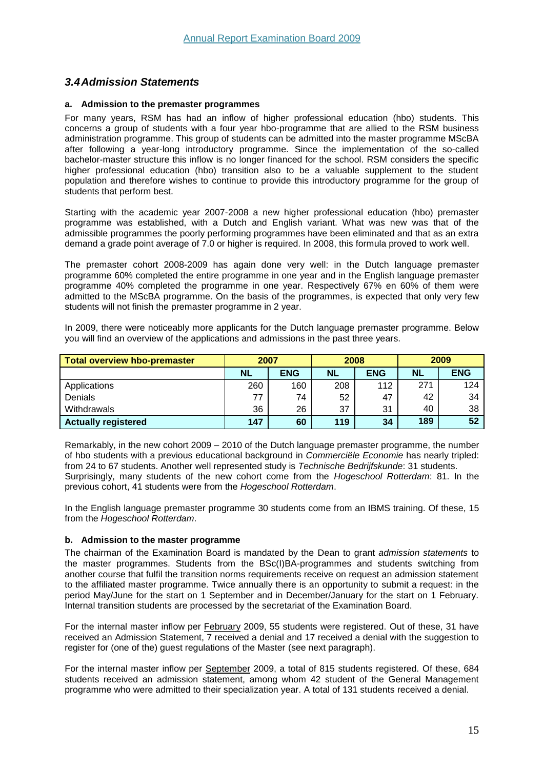## <span id="page-15-0"></span>*3.4Admission Statements*

#### <span id="page-15-1"></span>**a. Admission to the premaster programmes**

For many years, RSM has had an inflow of higher professional education (hbo) students. This concerns a group of students with a four year hbo-programme that are allied to the RSM business administration programme. This group of students can be admitted into the master programme MScBA after following a year-long introductory programme. Since the implementation of the so-called bachelor-master structure this inflow is no longer financed for the school. RSM considers the specific higher professional education (hbo) transition also to be a valuable supplement to the student population and therefore wishes to continue to provide this introductory programme for the group of students that perform best.

Starting with the academic year 2007-2008 a new higher professional education (hbo) premaster programme was established, with a Dutch and English variant. What was new was that of the admissible programmes the poorly performing programmes have been eliminated and that as an extra demand a grade point average of 7.0 or higher is required. In 2008, this formula proved to work well.

The premaster cohort 2008-2009 has again done very well: in the Dutch language premaster programme 60% completed the entire programme in one year and in the English language premaster programme 40% completed the programme in one year. Respectively 67% en 60% of them were admitted to the MScBA programme. On the basis of the programmes, is expected that only very few students will not finish the premaster programme in 2 year.

In 2009, there were noticeably more applicants for the Dutch language premaster programme. Below you will find an overview of the applications and admissions in the past three years.

| <b>Total overview hbo-premaster</b> | 2007      |            | 2008      |            | 2009 |            |
|-------------------------------------|-----------|------------|-----------|------------|------|------------|
|                                     | <b>NL</b> | <b>ENG</b> | <b>NL</b> | <b>ENG</b> | NL   | <b>ENG</b> |
| Applications                        | 260       | 160        | 208       | 112        | 271  | 124        |
| Denials                             | 77        | 74         | 52        | 47         | 42   | 34         |
| Withdrawals                         | 36        | 26         | 37        | 31         | 40   | 38         |
| <b>Actually registered</b>          | 147       | 60         | 119       | 34         | 189  | 52         |

Remarkably, in the new cohort 2009 – 2010 of the Dutch language premaster programme, the number of hbo students with a previous educational background in *Commerciële Economie* has nearly tripled: from 24 to 67 students. Another well represented study is *Technische Bedrijfskunde*: 31 students. Surprisingly, many students of the new cohort come from the *Hogeschool Rotterdam*: 81. In the previous cohort, 41 students were from the *Hogeschool Rotterdam*.

In the English language premaster programme 30 students come from an IBMS training. Of these, 15 from the *Hogeschool Rotterdam*.

## <span id="page-15-2"></span>**b. Admission to the master programme**

The chairman of the Examination Board is mandated by the Dean to grant *admission statements* to the master programmes. Students from the BSc(I)BA-programmes and students switching from another course that fulfil the transition norms requirements receive on request an admission statement to the affiliated master programme. Twice annually there is an opportunity to submit a request: in the period May/June for the start on 1 September and in December/January for the start on 1 February. Internal transition students are processed by the secretariat of the Examination Board.

For the internal master inflow per February 2009, 55 students were registered. Out of these, 31 have received an Admission Statement, 7 received a denial and 17 received a denial with the suggestion to register for (one of the) guest regulations of the Master (see next paragraph).

For the internal master inflow per September 2009, a total of 815 students registered. Of these, 684 students received an admission statement, among whom 42 student of the General Management programme who were admitted to their specialization year. A total of 131 students received a denial.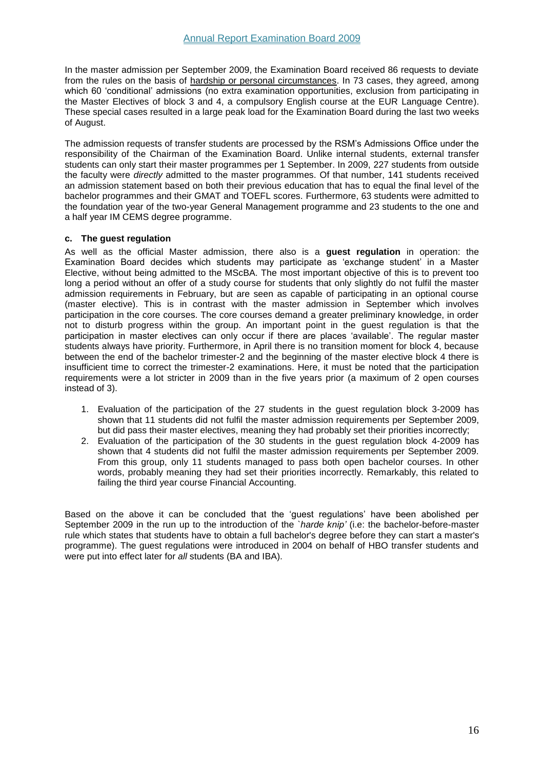In the master admission per September 2009, the Examination Board received 86 requests to deviate from the rules on the basis of hardship or personal circumstances. In 73 cases, they agreed, among which 60 'conditional' admissions (no extra examination opportunities, exclusion from participating in the Master Electives of block 3 and 4, a compulsory English course at the EUR Language Centre). These special cases resulted in a large peak load for the Examination Board during the last two weeks of August.

The admission requests of transfer students are processed by the RSM's Admissions Office under the responsibility of the Chairman of the Examination Board. Unlike internal students, external transfer students can only start their master programmes per 1 September. In 2009, 227 students from outside the faculty were *directly* admitted to the master programmes. Of that number, 141 students received an admission statement based on both their previous education that has to equal the final level of the bachelor programmes and their GMAT and TOEFL scores. Furthermore, 63 students were admitted to the foundation year of the two-year General Management programme and 23 students to the one and a half year IM CEMS degree programme.

## <span id="page-16-0"></span>**c. The guest regulation**

As well as the official Master admission, there also is a **guest regulation** in operation: the Examination Board decides which students may participate as 'exchange student' in a Master Elective, without being admitted to the MScBA. The most important objective of this is to prevent too long a period without an offer of a study course for students that only slightly do not fulfil the master admission requirements in February, but are seen as capable of participating in an optional course (master elective). This is in contrast with the master admission in September which involves participation in the core courses. The core courses demand a greater preliminary knowledge, in order not to disturb progress within the group. An important point in the guest regulation is that the participation in master electives can only occur if there are places 'available'. The regular master students always have priority. Furthermore, in April there is no transition moment for block 4, because between the end of the bachelor trimester-2 and the beginning of the master elective block 4 there is insufficient time to correct the trimester-2 examinations. Here, it must be noted that the participation requirements were a lot stricter in 2009 than in the five years prior (a maximum of 2 open courses instead of 3).

- 1. Evaluation of the participation of the 27 students in the guest regulation block 3-2009 has shown that 11 students did not fulfil the master admission requirements per September 2009, but did pass their master electives, meaning they had probably set their priorities incorrectly;
- 2. Evaluation of the participation of the 30 students in the guest regulation block 4-2009 has shown that 4 students did not fulfil the master admission requirements per September 2009. From this group, only 11 students managed to pass both open bachelor courses. In other words, probably meaning they had set their priorities incorrectly. Remarkably, this related to failing the third year course Financial Accounting.

Based on the above it can be concluded that the 'guest regulations' have been abolished per September 2009 in the run up to the introduction of the *`harde knip'* (i.e: the bachelor-before-master rule which states that students have to obtain a full bachelor's degree before they can start a master's programme). The guest regulations were introduced in 2004 on behalf of HBO transfer students and were put into effect later for *all* students (BA and IBA).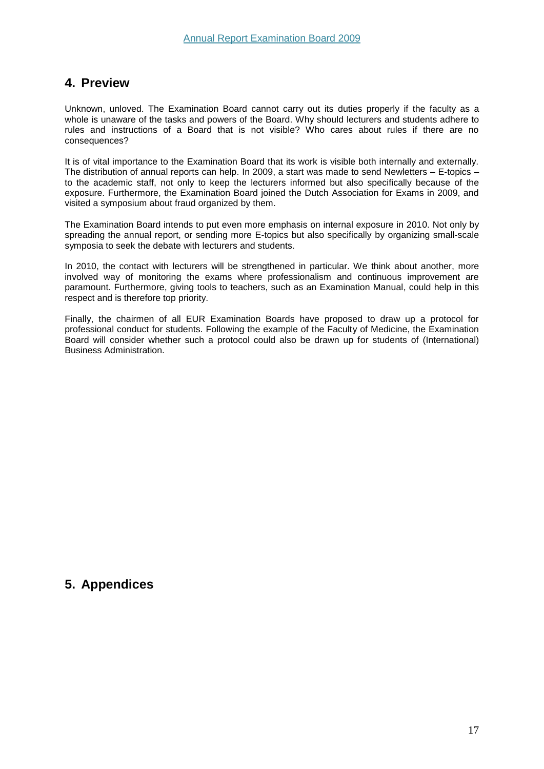## <span id="page-17-0"></span>**4. Preview**

Unknown, unloved. The Examination Board cannot carry out its duties properly if the faculty as a whole is unaware of the tasks and powers of the Board. Why should lecturers and students adhere to rules and instructions of a Board that is not visible? Who cares about rules if there are no consequences?

It is of vital importance to the Examination Board that its work is visible both internally and externally. The distribution of annual reports can help. In 2009, a start was made to send Newletters – E-topics – to the academic staff, not only to keep the lecturers informed but also specifically because of the exposure. Furthermore, the Examination Board joined the Dutch Association for Exams in 2009, and visited a symposium about fraud organized by them.

The Examination Board intends to put even more emphasis on internal exposure in 2010. Not only by spreading the annual report, or sending more E-topics but also specifically by organizing small-scale symposia to seek the debate with lecturers and students.

In 2010, the contact with lecturers will be strengthened in particular. We think about another, more involved way of monitoring the exams where professionalism and continuous improvement are paramount. Furthermore, giving tools to teachers, such as an Examination Manual, could help in this respect and is therefore top priority.

Finally, the chairmen of all EUR Examination Boards have proposed to draw up a protocol for professional conduct for students. Following the example of the Faculty of Medicine, the Examination Board will consider whether such a protocol could also be drawn up for students of (International) Business Administration.

# <span id="page-17-1"></span>**5. Appendices**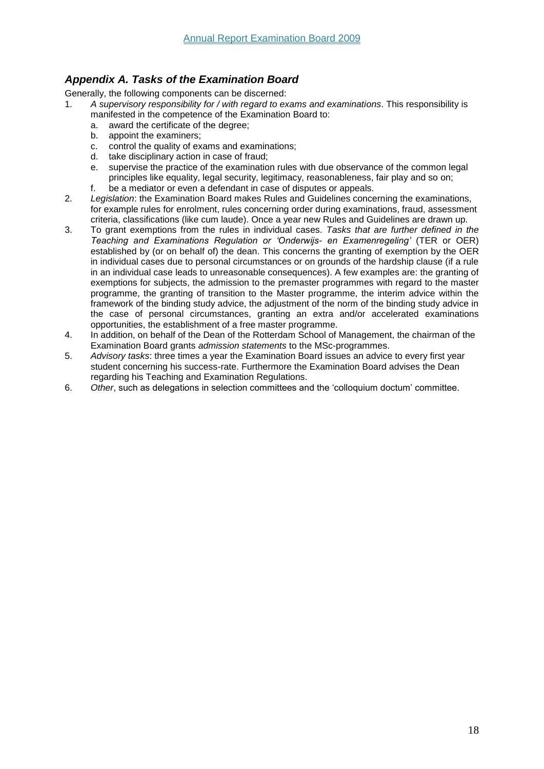## <span id="page-18-0"></span>*Appendix A. Tasks of the Examination Board*

Generally, the following components can be discerned:

- 1. *A supervisory responsibility for / with regard to exams and examinations*. This responsibility is manifested in the competence of the Examination Board to:
	- a. award the certificate of the degree;
	- b. appoint the examiners;
	- c. control the quality of exams and examinations;
	- d. take disciplinary action in case of fraud;
	- e. supervise the practice of the examination rules with due observance of the common legal principles like equality, legal security, legitimacy, reasonableness, fair play and so on;
	- f. be a mediator or even a defendant in case of disputes or appeals.
- 2. *Legislation*: the Examination Board makes Rules and Guidelines concerning the examinations, for example rules for enrolment, rules concerning order during examinations, fraud, assessment criteria, classifications (like cum laude). Once a year new Rules and Guidelines are drawn up.
- 3. To grant exemptions from the rules in individual cases. *Tasks that are further defined in the Teaching and Examinations Regulation or 'Onderwijs- en Examenregeling'* (TER or OER) established by (or on behalf of) the dean. This concerns the granting of exemption by the OER in individual cases due to personal circumstances or on grounds of the hardship clause (if a rule in an individual case leads to unreasonable consequences). A few examples are: the granting of exemptions for subjects, the admission to the premaster programmes with regard to the master programme, the granting of transition to the Master programme, the interim advice within the framework of the binding study advice, the adjustment of the norm of the binding study advice in the case of personal circumstances, granting an extra and/or accelerated examinations opportunities, the establishment of a free master programme.
- 4. In addition, on behalf of the Dean of the Rotterdam School of Management, the chairman of the Examination Board grants *admission statements* to the MSc-programmes.
- 5. *Advisory tasks*: three times a year the Examination Board issues an advice to every first year student concerning his success-rate. Furthermore the Examination Board advises the Dean regarding his Teaching and Examination Regulations.
- 6. *Other*, such as delegations in selection committees and the 'colloquium doctum' committee.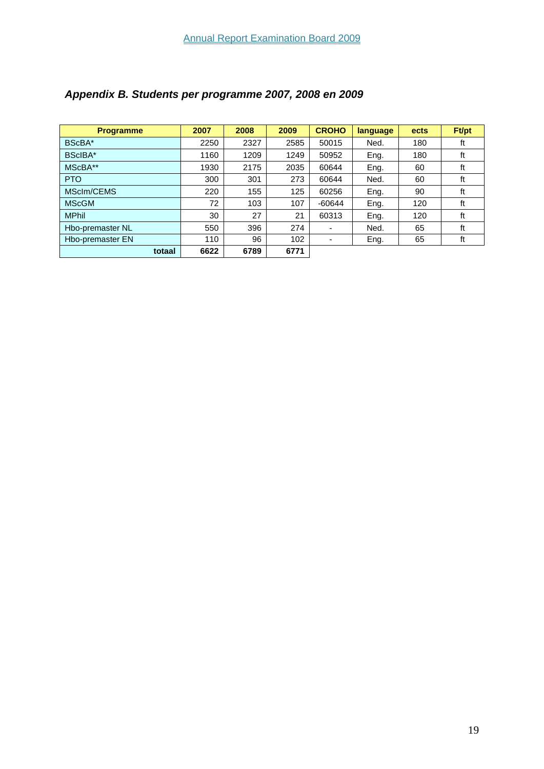| <b>Programme</b> | 2007 | 2008 | 2009 | <b>CROHO</b>             | language | ects | Ft/pt |
|------------------|------|------|------|--------------------------|----------|------|-------|
| BScBA*           | 2250 | 2327 | 2585 | 50015                    | Ned.     | 180  | ft    |
| BScIBA*          | 1160 | 1209 | 1249 | 50952                    | Eng.     | 180  | ft    |
| MScBA**          | 1930 | 2175 | 2035 | 60644                    | Eng.     | 60   | ft    |
| <b>PTO</b>       | 300  | 301  | 273  | 60644                    | Ned.     | 60   | ft    |
| MSclm/CEMS       | 220  | 155  | 125  | 60256                    | Eng.     | 90   | ft    |
| <b>MScGM</b>     | 72   | 103  | 107  | $-60644$                 | Eng.     | 120  | ft    |
| <b>MPhil</b>     | 30   | 27   | 21   | 60313                    | Eng.     | 120  | ft    |
| Hbo-premaster NL | 550  | 396  | 274  |                          | Ned.     | 65   | ft    |
| Hbo-premaster EN | 110  | 96   | 102  | $\overline{\phantom{0}}$ | Eng.     | 65   | ft    |
| totaal           | 6622 | 6789 | 6771 |                          |          |      |       |

# <span id="page-19-0"></span>*Appendix B. Students per programme 2007, 2008 en 2009*